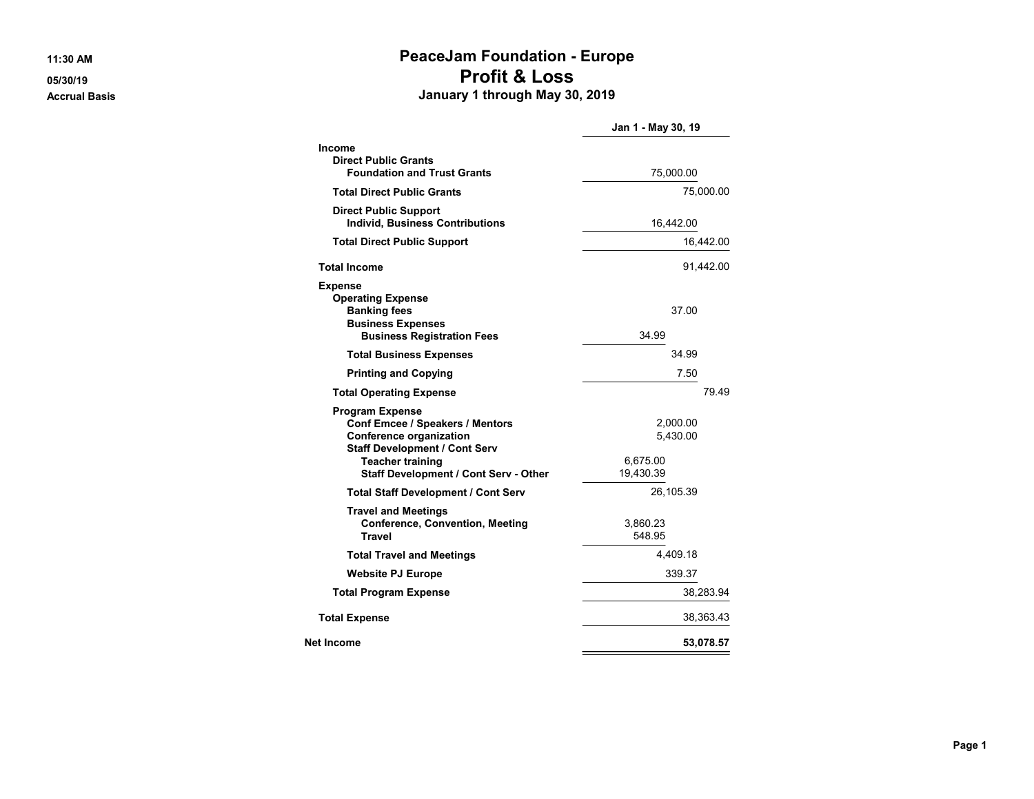## **11:30 AM PeaceJam Foundation - Europe 05/30/19 Profit & Loss Accrual Basis January 1 through May 30, 2019**

|                                                                                                                                                                                                         | Jan 1 - May 30, 19                            |           |
|---------------------------------------------------------------------------------------------------------------------------------------------------------------------------------------------------------|-----------------------------------------------|-----------|
| Income                                                                                                                                                                                                  |                                               |           |
| <b>Direct Public Grants</b><br><b>Foundation and Trust Grants</b>                                                                                                                                       | 75,000.00                                     |           |
| <b>Total Direct Public Grants</b>                                                                                                                                                                       | 75,000.00                                     |           |
| <b>Direct Public Support</b><br><b>Individ, Business Contributions</b>                                                                                                                                  | 16,442.00                                     |           |
| <b>Total Direct Public Support</b>                                                                                                                                                                      | 16,442.00                                     |           |
| <b>Total Income</b>                                                                                                                                                                                     | 91,442.00                                     |           |
| <b>Expense</b><br><b>Operating Expense</b><br><b>Banking fees</b><br><b>Business Expenses</b><br><b>Business Registration Fees</b>                                                                      | 37.00<br>34.99                                |           |
| <b>Total Business Expenses</b>                                                                                                                                                                          | 34.99                                         |           |
| <b>Printing and Copying</b>                                                                                                                                                                             | 7.50                                          |           |
| <b>Total Operating Expense</b>                                                                                                                                                                          |                                               | 79.49     |
| <b>Program Expense</b><br>Conf Emcee / Speakers / Mentors<br><b>Conference organization</b><br><b>Staff Development / Cont Serv</b><br><b>Teacher training</b><br>Staff Development / Cont Serv - Other | 2,000.00<br>5,430.00<br>6,675.00<br>19,430.39 |           |
| <b>Total Staff Development / Cont Serv</b>                                                                                                                                                              | 26,105.39                                     |           |
| <b>Travel and Meetings</b><br><b>Conference, Convention, Meeting</b><br>Travel                                                                                                                          | 3,860.23<br>548.95                            |           |
| <b>Total Travel and Meetings</b>                                                                                                                                                                        | 4,409.18                                      |           |
| <b>Website PJ Europe</b>                                                                                                                                                                                | 339.37                                        |           |
| <b>Total Program Expense</b>                                                                                                                                                                            | 38,283.94                                     |           |
| <b>Total Expense</b>                                                                                                                                                                                    | 38,363.43                                     |           |
| Net Income                                                                                                                                                                                              |                                               | 53,078.57 |
|                                                                                                                                                                                                         |                                               |           |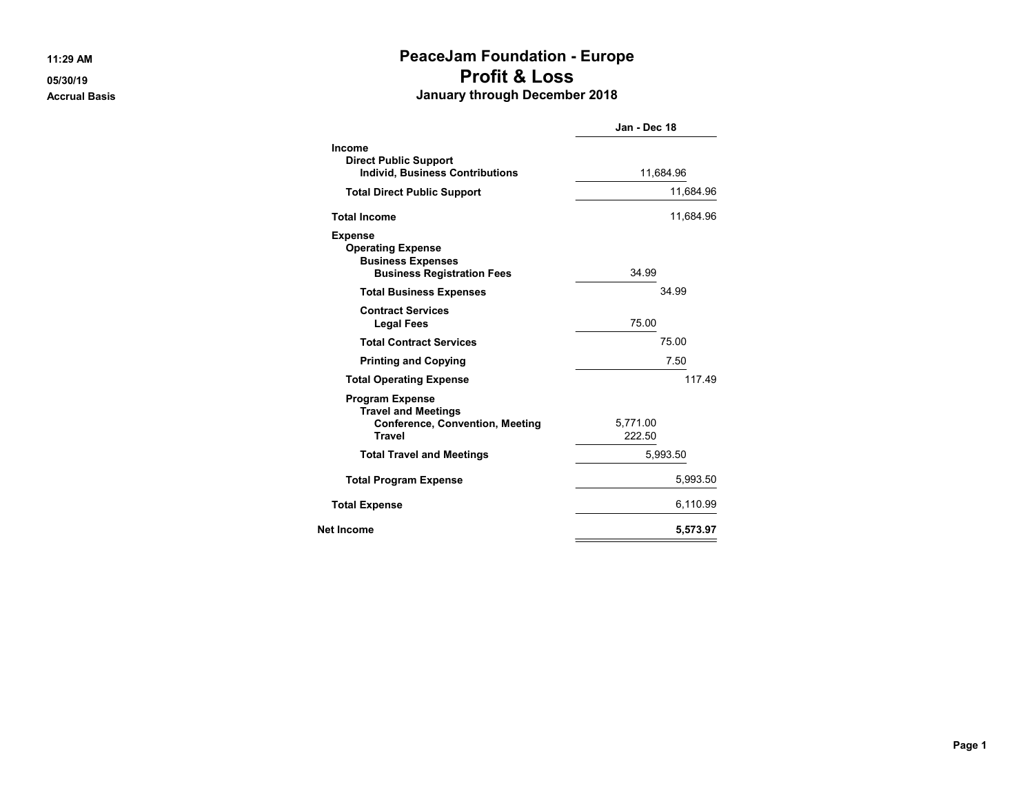## **11:29 AM PeaceJam Foundation - Europe 05/30/19 Profit & Loss Accrual Basis January through December 2018**

|                                                                                                                 | Jan - Dec 18       |  |
|-----------------------------------------------------------------------------------------------------------------|--------------------|--|
| <b>Income</b><br><b>Direct Public Support</b><br><b>Individ, Business Contributions</b>                         | 11,684.96          |  |
| <b>Total Direct Public Support</b>                                                                              | 11,684.96          |  |
| <b>Total Income</b>                                                                                             | 11,684.96          |  |
| <b>Expense</b><br><b>Operating Expense</b><br><b>Business Expenses</b><br><b>Business Registration Fees</b>     | 34.99              |  |
| <b>Total Business Expenses</b>                                                                                  | 34.99              |  |
| <b>Contract Services</b><br><b>Legal Fees</b>                                                                   | 75.00              |  |
| <b>Total Contract Services</b>                                                                                  | 75.00              |  |
| <b>Printing and Copying</b>                                                                                     | 7.50               |  |
| <b>Total Operating Expense</b>                                                                                  | 11749              |  |
| <b>Program Expense</b><br><b>Travel and Meetings</b><br><b>Conference, Convention, Meeting</b><br><b>Travel</b> | 5,771.00<br>222.50 |  |
| <b>Total Travel and Meetings</b>                                                                                | 5,993.50           |  |
| <b>Total Program Expense</b>                                                                                    | 5,993.50           |  |
| <b>Total Expense</b>                                                                                            | 6,110.99           |  |
| Net Income                                                                                                      | 5,573.97           |  |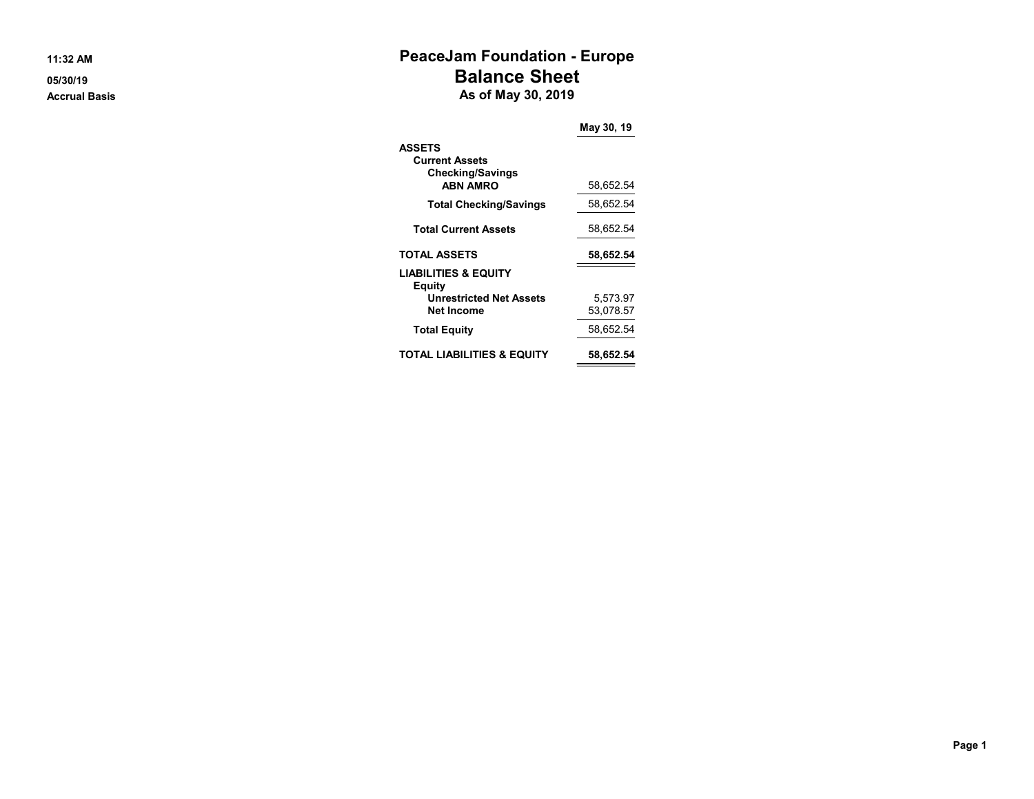# **11:32 AM PeaceJam Foundation - Europe 05/30/19 Balance Sheet Accrual Basis As of May 30, 2019**

|                                                                                           | May 30, 19            |
|-------------------------------------------------------------------------------------------|-----------------------|
| <b>ASSETS</b><br><b>Current Assets</b><br><b>Checking/Savings</b><br><b>ABN AMRO</b>      | 58,652.54             |
| <b>Total Checking/Savings</b>                                                             | 58,652.54             |
| <b>Total Current Assets</b>                                                               | 58,652.54             |
| <b>TOTAL ASSETS</b>                                                                       | 58,652.54             |
| <b>LIABILITIES &amp; EQUITY</b><br>Equity<br><b>Unrestricted Net Assets</b><br>Net Income | 5,573.97<br>53,078.57 |
| <b>Total Equity</b>                                                                       | 58,652.54             |
| TOTAL LIABILITIES & EQUITY                                                                | 58,652.54             |